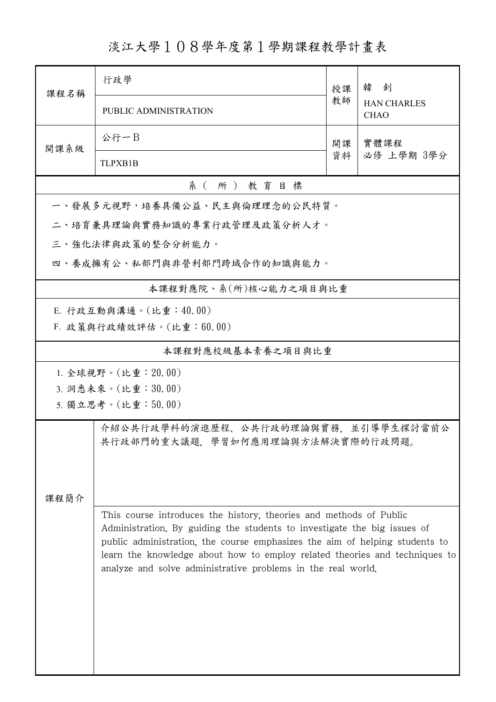淡江大學108學年度第1學期課程教學計畫表

| 課程名稱                  | 行政學                                                                     | 授課                                                                                                                                                                                                                                                                                                          | 韓釗<br><b>HAN CHARLES</b><br><b>CHAO</b> |  |  |  |  |
|-----------------------|-------------------------------------------------------------------------|-------------------------------------------------------------------------------------------------------------------------------------------------------------------------------------------------------------------------------------------------------------------------------------------------------------|-----------------------------------------|--|--|--|--|
|                       | PUBLIC ADMINISTRATION                                                   | 教師                                                                                                                                                                                                                                                                                                          |                                         |  |  |  |  |
| 開課系級                  | 公行一B                                                                    | 開課<br>資料                                                                                                                                                                                                                                                                                                    | 實體課程                                    |  |  |  |  |
|                       | <b>TLPXB1B</b>                                                          |                                                                                                                                                                                                                                                                                                             | 必修 上學期 3學分                              |  |  |  |  |
| 系(所)教育目標              |                                                                         |                                                                                                                                                                                                                                                                                                             |                                         |  |  |  |  |
|                       | 一、發展多元視野,培養具備公益、民主與倫理理念的公民特質。                                           |                                                                                                                                                                                                                                                                                                             |                                         |  |  |  |  |
|                       | 二、培育兼具理論與實務知識的專業行政管理及政策分析人才。                                            |                                                                                                                                                                                                                                                                                                             |                                         |  |  |  |  |
|                       | 三、強化法律與政策的整合分析能力。                                                       |                                                                                                                                                                                                                                                                                                             |                                         |  |  |  |  |
|                       | 四、養成擁有公、私部門與非營利部門跨域合作的知識與能力。                                            |                                                                                                                                                                                                                                                                                                             |                                         |  |  |  |  |
| 本課程對應院、系(所)核心能力之項目與比重 |                                                                         |                                                                                                                                                                                                                                                                                                             |                                         |  |  |  |  |
| E. 行政互動與溝通。(比重:40.00) |                                                                         |                                                                                                                                                                                                                                                                                                             |                                         |  |  |  |  |
|                       | F. 政策與行政績效評估。(比重:60.00)                                                 |                                                                                                                                                                                                                                                                                                             |                                         |  |  |  |  |
| 本課程對應校級基本素養之項目與比重     |                                                                         |                                                                                                                                                                                                                                                                                                             |                                         |  |  |  |  |
| 1. 全球視野。(比重: 20.00)   |                                                                         |                                                                                                                                                                                                                                                                                                             |                                         |  |  |  |  |
| 3. 洞悉未來。(比重:30.00)    |                                                                         |                                                                                                                                                                                                                                                                                                             |                                         |  |  |  |  |
| 5. 獨立思考。(比重:50.00)    |                                                                         |                                                                                                                                                                                                                                                                                                             |                                         |  |  |  |  |
|                       | 介紹公共行政學科的演進歷程、公共行政的理論與實務,並引導學生探討當前公<br>共行政部門的重大議題,學習如何應用理論與方法解決實際的行政問題。 |                                                                                                                                                                                                                                                                                                             |                                         |  |  |  |  |
| 課程簡介                  |                                                                         |                                                                                                                                                                                                                                                                                                             |                                         |  |  |  |  |
|                       | analyze and solve administrative problems in the real world.            | This course introduces the history, theories and methods of Public<br>Administration. By guiding the students to investigate the big issues of<br>public administration, the course emphasizes the aim of helping students to<br>learn the knowledge about how to employ related theories and techniques to |                                         |  |  |  |  |
|                       |                                                                         |                                                                                                                                                                                                                                                                                                             |                                         |  |  |  |  |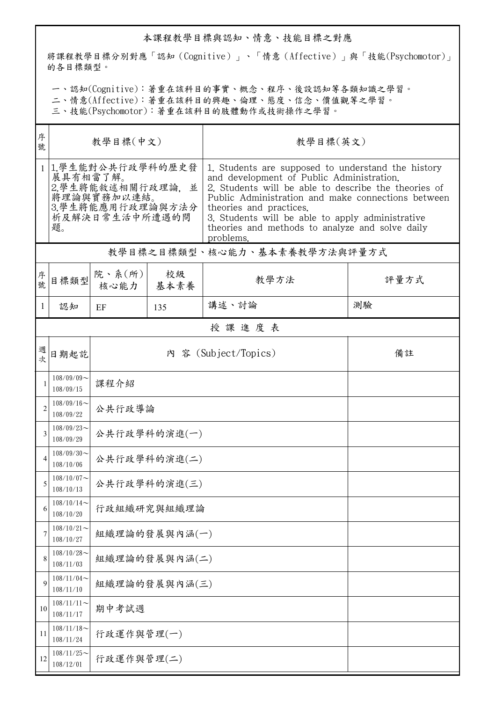## 本課程教學目標與認知、情意、技能目標之對應

將課程教學目標分別對應「認知(Cognitive)」、「情意(Affective)」與「技能(Psychomotor)」 的各目標類型。

一、認知(Cognitive):著重在該科目的事實、概念、程序、後設認知等各類知識之學習。

二、情意(Affective):著重在該科目的興趣、倫理、態度、信念、價值觀等之學習。

三、技能(Psychomotor):著重在該科目的肢體動作或技術操作之學習。

| 序<br>號         | 教學目標(中文)                                                                                                      |                           |               | 教學目標(英文)                                                                                                                                                                                                                                                                                                                                                     |      |  |  |  |
|----------------|---------------------------------------------------------------------------------------------------------------|---------------------------|---------------|--------------------------------------------------------------------------------------------------------------------------------------------------------------------------------------------------------------------------------------------------------------------------------------------------------------------------------------------------------------|------|--|--|--|
|                | 1 1.學生能對公共行政學科的歷史發<br>展具有相當了解。<br>2.學生將能敘述相關行政理論,並<br>將理論與實務加以連結。<br>3.學生將能應用行政理論與方法分<br>析及解決日常生活中所遭遇的問<br>題。 |                           |               | 1. Students are supposed to understand the history<br>and development of Public Administration.<br>2. Students will be able to describe the theories of<br>Public Administration and make connections between<br>theories and practices.<br>3. Students will be able to apply administrative<br>theories and methods to analyze and solve daily<br>problems. |      |  |  |  |
|                | 教學目標之目標類型、核心能力、基本素養教學方法與評量方式                                                                                  |                           |               |                                                                                                                                                                                                                                                                                                                                                              |      |  |  |  |
| 序號             | 目標類型                                                                                                          | 院、系 $(\text{ff})$<br>核心能力 | 校級<br>基本素養    | 教學方法                                                                                                                                                                                                                                                                                                                                                         | 評量方式 |  |  |  |
| 1              | 認知                                                                                                            | EF                        | 135           | 講述、討論                                                                                                                                                                                                                                                                                                                                                        | 測驗   |  |  |  |
|                | 授課進度表                                                                                                         |                           |               |                                                                                                                                                                                                                                                                                                                                                              |      |  |  |  |
| 週<br>坎         | 日期起訖                                                                                                          |                           |               | 內 容 (Subject/Topics)                                                                                                                                                                                                                                                                                                                                         | 備註   |  |  |  |
| 1              | $108/09/09$ ~<br>108/09/15                                                                                    | 課程介紹                      |               |                                                                                                                                                                                                                                                                                                                                                              |      |  |  |  |
| $\overline{2}$ | $108/09/16$ ~<br>108/09/22                                                                                    | 公共行政導論                    |               |                                                                                                                                                                                                                                                                                                                                                              |      |  |  |  |
| 3              | $108/09/23$ ~<br>108/09/29                                                                                    | 公共行政學科的演進(一)              |               |                                                                                                                                                                                                                                                                                                                                                              |      |  |  |  |
| 4              | $108/09/30$ ~<br>108/10/06                                                                                    | 公共行政學科的演進(二)              |               |                                                                                                                                                                                                                                                                                                                                                              |      |  |  |  |
| 5              | $108/10/07$ ~<br>108/10/13                                                                                    | 公共行政學科的演進(三)              |               |                                                                                                                                                                                                                                                                                                                                                              |      |  |  |  |
| 6              | $108/10/14$ ~<br>108/10/20                                                                                    | 行政組織研究與組織理論               |               |                                                                                                                                                                                                                                                                                                                                                              |      |  |  |  |
| 7              | $108/10/21$ ~<br>108/10/27                                                                                    |                           | 組織理論的發展與內涵(一) |                                                                                                                                                                                                                                                                                                                                                              |      |  |  |  |
| 8              | $108/10/28$ ~<br>108/11/03                                                                                    |                           | 組織理論的發展與內涵(二) |                                                                                                                                                                                                                                                                                                                                                              |      |  |  |  |
| 9              | $108/11/04$ ~<br>108/11/10                                                                                    |                           | 組織理論的發展與內涵(三) |                                                                                                                                                                                                                                                                                                                                                              |      |  |  |  |
| 10             | $108/11/11$ ~<br>108/11/17                                                                                    | 期中考試週                     |               |                                                                                                                                                                                                                                                                                                                                                              |      |  |  |  |
| 11             | $108/11/18$ ~<br>108/11/24                                                                                    | 行政運作與管理(一)                |               |                                                                                                                                                                                                                                                                                                                                                              |      |  |  |  |
| 12             | $108/11/25$ ~<br>108/12/01                                                                                    | 行政運作與管理(二)                |               |                                                                                                                                                                                                                                                                                                                                                              |      |  |  |  |